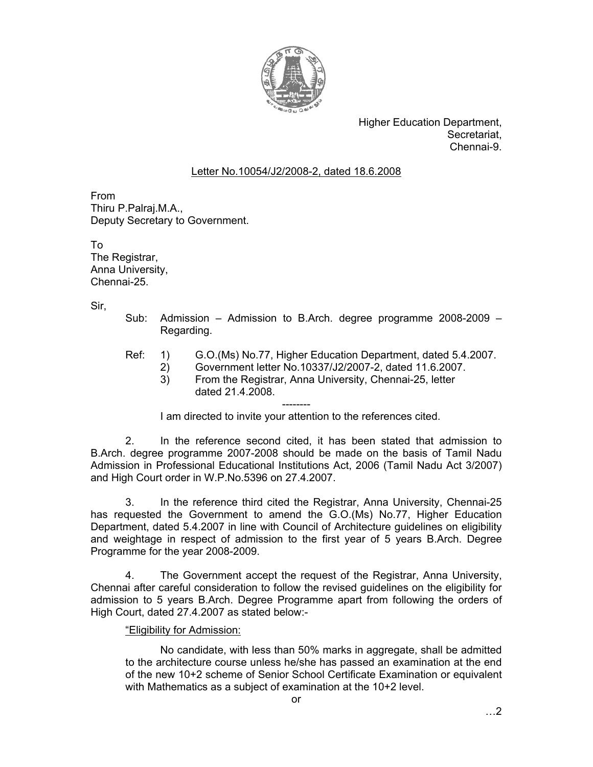

Higher Education Department, Secretariat, Chennai-9.

## Letter No.10054/J2/2008-2, dated 18.6.2008

From Thiru P.Palraj.M.A., Deputy Secretary to Government.

To The Registrar, Anna University, Chennai-25.

Sir,

- Sub: Admission Admission to B.Arch. degree programme 2008-2009 Regarding.
- Ref: 1) G.O.(Ms) No.77, Higher Education Department, dated 5.4.2007.
	- 2) Government letter No.10337/J2/2007-2, dated 11.6.2007.
		- 3) From the Registrar, Anna University, Chennai-25, letter dated 21.4.2008.

-------- I am directed to invite your attention to the references cited.

 2. In the reference second cited, it has been stated that admission to B.Arch. degree programme 2007-2008 should be made on the basis of Tamil Nadu Admission in Professional Educational Institutions Act, 2006 (Tamil Nadu Act 3/2007) and High Court order in W.P.No.5396 on 27.4.2007.

 3. In the reference third cited the Registrar, Anna University, Chennai-25 has requested the Government to amend the G.O.(Ms) No.77, Higher Education Department, dated 5.4.2007 in line with Council of Architecture guidelines on eligibility and weightage in respect of admission to the first year of 5 years B.Arch. Degree Programme for the year 2008-2009.

4. The Government accept the request of the Registrar, Anna University, Chennai after careful consideration to follow the revised guidelines on the eligibility for admission to 5 years B.Arch. Degree Programme apart from following the orders of High Court, dated 27.4.2007 as stated below:-

## "Eligibility for Admission:

No candidate, with less than 50% marks in aggregate, shall be admitted to the architecture course unless he/she has passed an examination at the end of the new 10+2 scheme of Senior School Certificate Examination or equivalent with Mathematics as a subject of examination at the 10+2 level.